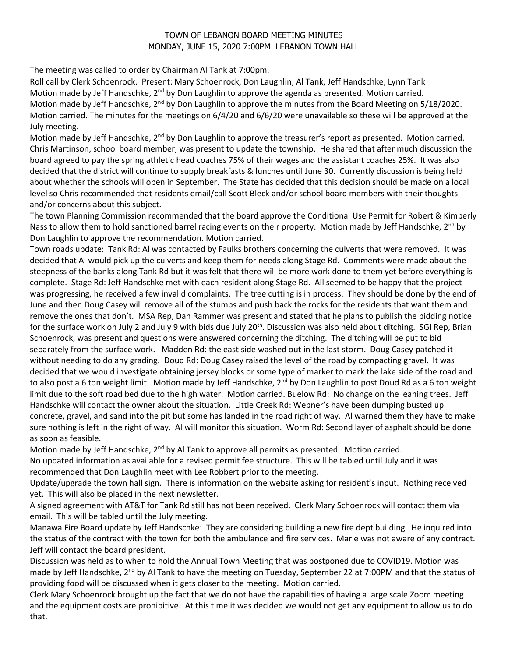## TOWN OF LEBANON BOARD MEETING MINUTES MONDAY, JUNE 15, 2020 7:00PM LEBANON TOWN HALL

The meeting was called to order by Chairman Al Tank at 7:00pm.

Roll call by Clerk Schoenrock. Present: Mary Schoenrock, Don Laughlin, Al Tank, Jeff Handschke, Lynn Tank Motion made by Jeff Handschke, 2<sup>nd</sup> by Don Laughlin to approve the agenda as presented. Motion carried. Motion made by Jeff Handschke, 2<sup>nd</sup> by Don Laughlin to approve the minutes from the Board Meeting on 5/18/2020. Motion carried. The minutes for the meetings on 6/4/20 and 6/6/20 were unavailable so these will be approved at the July meeting.

Motion made by Jeff Handschke, 2<sup>nd</sup> by Don Laughlin to approve the treasurer's report as presented. Motion carried. Chris Martinson, school board member, was present to update the township. He shared that after much discussion the board agreed to pay the spring athletic head coaches 75% of their wages and the assistant coaches 25%. It was also decided that the district will continue to supply breakfasts & lunches until June 30. Currently discussion is being held about whether the schools will open in September. The State has decided that this decision should be made on a local level so Chris recommended that residents email/call Scott Bleck and/or school board members with their thoughts and/or concerns about this subject.

The town Planning Commission recommended that the board approve the Conditional Use Permit for Robert & Kimberly Nass to allow them to hold sanctioned barrel racing events on their property. Motion made by Jeff Handschke, 2<sup>nd</sup> by Don Laughlin to approve the recommendation. Motion carried.

Town roads update: Tank Rd: Al was contacted by Faulks brothers concerning the culverts that were removed. It was decided that Al would pick up the culverts and keep them for needs along Stage Rd. Comments were made about the steepness of the banks along Tank Rd but it was felt that there will be more work done to them yet before everything is complete. Stage Rd: Jeff Handschke met with each resident along Stage Rd. All seemed to be happy that the project was progressing, he received a few invalid complaints. The tree cutting is in process. They should be done by the end of June and then Doug Casey will remove all of the stumps and push back the rocks for the residents that want them and remove the ones that don't. MSA Rep, Dan Rammer was present and stated that he plans to publish the bidding notice for the surface work on July 2 and July 9 with bids due July  $20<sup>th</sup>$ . Discussion was also held about ditching. SGI Rep, Brian Schoenrock, was present and questions were answered concerning the ditching. The ditching will be put to bid separately from the surface work. Madden Rd: the east side washed out in the last storm. Doug Casey patched it without needing to do any grading. Doud Rd: Doug Casey raised the level of the road by compacting gravel. It was decided that we would investigate obtaining jersey blocks or some type of marker to mark the lake side of the road and to also post a 6 ton weight limit. Motion made by Jeff Handschke, 2<sup>nd</sup> by Don Laughlin to post Doud Rd as a 6 ton weight limit due to the soft road bed due to the high water. Motion carried. Buelow Rd: No change on the leaning trees. Jeff Handschke will contact the owner about the situation. Little Creek Rd: Wepner's have been dumping busted up concrete, gravel, and sand into the pit but some has landed in the road right of way. Al warned them they have to make sure nothing is left in the right of way. Al will monitor this situation. Worm Rd: Second layer of asphalt should be done as soon as feasible.

Motion made by Jeff Handschke,  $2<sup>nd</sup>$  by Al Tank to approve all permits as presented. Motion carried.

No updated information as available for a revised permit fee structure. This will be tabled until July and it was recommended that Don Laughlin meet with Lee Robbert prior to the meeting.

Update/upgrade the town hall sign. There is information on the website asking for resident's input. Nothing received yet. This will also be placed in the next newsletter.

A signed agreement with AT&T for Tank Rd still has not been received. Clerk Mary Schoenrock will contact them via email. This will be tabled until the July meeting.

Manawa Fire Board update by Jeff Handschke: They are considering building a new fire dept building. He inquired into the status of the contract with the town for both the ambulance and fire services. Marie was not aware of any contract. Jeff will contact the board president.

Discussion was held as to when to hold the Annual Town Meeting that was postponed due to COVID19. Motion was made by Jeff Handschke, 2<sup>nd</sup> by Al Tank to have the meeting on Tuesday, September 22 at 7:00PM and that the status of providing food will be discussed when it gets closer to the meeting. Motion carried.

Clerk Mary Schoenrock brought up the fact that we do not have the capabilities of having a large scale Zoom meeting and the equipment costs are prohibitive. At this time it was decided we would not get any equipment to allow us to do that.